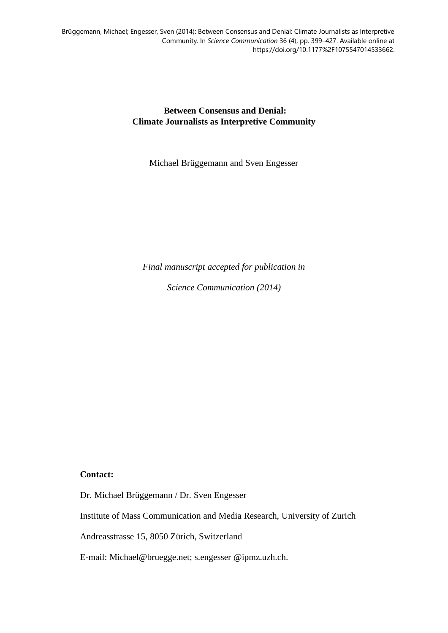**Between Consensus and Denial: Climate Journalists as Interpretive Community**

Michael Brüggemann and Sven Engesser

*Final manuscript accepted for publication in* 

*Science Communication (2014)*

# **Contact:**

Dr. Michael Brüggemann / Dr. Sven Engesser

Institute of Mass Communication and Media Research, University of Zurich

Andreasstrasse 15, 8050 Zürich, Switzerland

E-mail: [Michael@bruegge.net;](mailto:Michael@bruegge.net) s.engesser @ipmz.uzh.ch.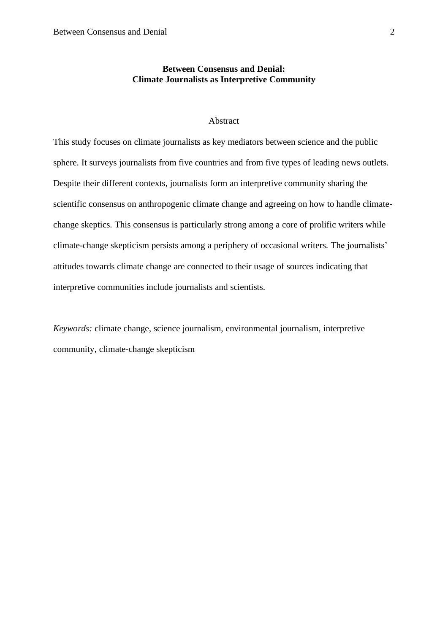# **Between Consensus and Denial: Climate Journalists as Interpretive Community**

# Abstract

This study focuses on climate journalists as key mediators between science and the public sphere. It surveys journalists from five countries and from five types of leading news outlets. Despite their different contexts, journalists form an interpretive community sharing the scientific consensus on anthropogenic climate change and agreeing on how to handle climatechange skeptics. This consensus is particularly strong among a core of prolific writers while climate-change skepticism persists among a periphery of occasional writers. The journalists' attitudes towards climate change are connected to their usage of sources indicating that interpretive communities include journalists and scientists.

*Keywords:* climate change, science journalism, environmental journalism, interpretive community, climate-change skepticism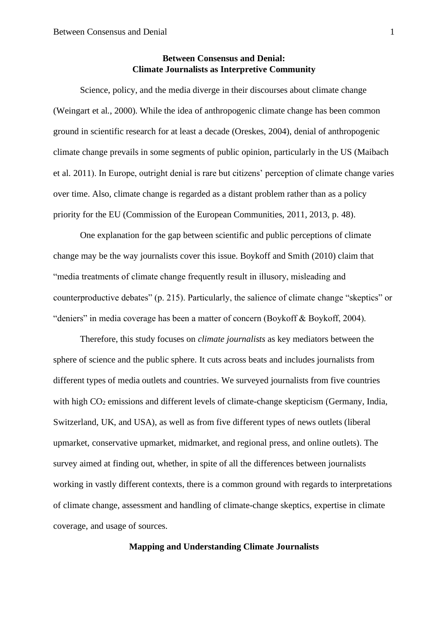# **Between Consensus and Denial: Climate Journalists as Interpretive Community**

Science, policy, and the media diverge in their discourses about climate change (Weingart et al., 2000). While the idea of anthropogenic climate change has been common ground in scientific research for at least a decade (Oreskes, 2004), denial of anthropogenic climate change prevails in some segments of public opinion, particularly in the US (Maibach et al. 2011). In Europe, outright denial is rare but citizens' perception of climate change varies over time. Also, climate change is regarded as a distant problem rather than as a policy priority for the EU (Commission of the European Communities, 2011, 2013, p. 48).

One explanation for the gap between scientific and public perceptions of climate change may be the way journalists cover this issue. Boykoff and Smith (2010) claim that "media treatments of climate change frequently result in illusory, misleading and counterproductive debates" (p. 215). Particularly, the salience of climate change "skeptics" or "deniers" in media coverage has been a matter of concern (Boykoff & Boykoff, 2004).

Therefore, this study focuses on *climate journalists* as key mediators between the sphere of science and the public sphere. It cuts across beats and includes journalists from different types of media outlets and countries. We surveyed journalists from five countries with high CO<sub>2</sub> emissions and different levels of climate-change skepticism (Germany, India, Switzerland, UK, and USA), as well as from five different types of news outlets (liberal upmarket, conservative upmarket, midmarket, and regional press, and online outlets). The survey aimed at finding out, whether, in spite of all the differences between journalists working in vastly different contexts, there is a common ground with regards to interpretations of climate change, assessment and handling of climate-change skeptics, expertise in climate coverage, and usage of sources.

# **Mapping and Understanding Climate Journalists**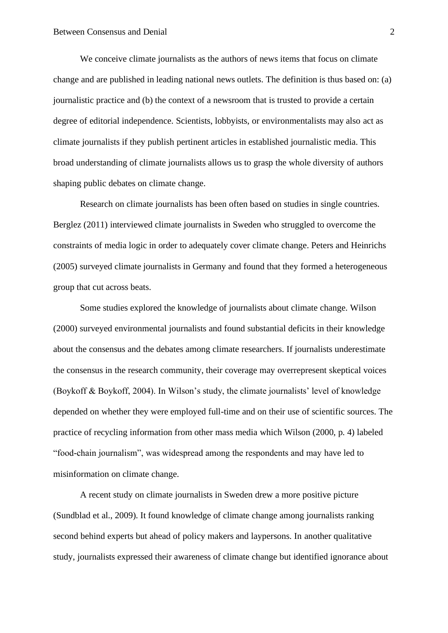We conceive climate journalists as the authors of news items that focus on climate change and are published in leading national news outlets. The definition is thus based on: (a) journalistic practice and (b) the context of a newsroom that is trusted to provide a certain degree of editorial independence. Scientists, lobbyists, or environmentalists may also act as climate journalists if they publish pertinent articles in established journalistic media. This broad understanding of climate journalists allows us to grasp the whole diversity of authors shaping public debates on climate change.

Research on climate journalists has been often based on studies in single countries. Berglez (2011) interviewed climate journalists in Sweden who struggled to overcome the constraints of media logic in order to adequately cover climate change. Peters and Heinrichs (2005) surveyed climate journalists in Germany and found that they formed a heterogeneous group that cut across beats.

Some studies explored the knowledge of journalists about climate change. Wilson (2000) surveyed environmental journalists and found substantial deficits in their knowledge about the consensus and the debates among climate researchers. If journalists underestimate the consensus in the research community, their coverage may overrepresent skeptical voices (Boykoff & Boykoff, 2004). In Wilson's study, the climate journalists' level of knowledge depended on whether they were employed full-time and on their use of scientific sources. The practice of recycling information from other mass media which Wilson (2000, p. 4) labeled "food-chain journalism", was widespread among the respondents and may have led to misinformation on climate change.

A recent study on climate journalists in Sweden drew a more positive picture (Sundblad et al., 2009). It found knowledge of climate change among journalists ranking second behind experts but ahead of policy makers and laypersons. In another qualitative study, journalists expressed their awareness of climate change but identified ignorance about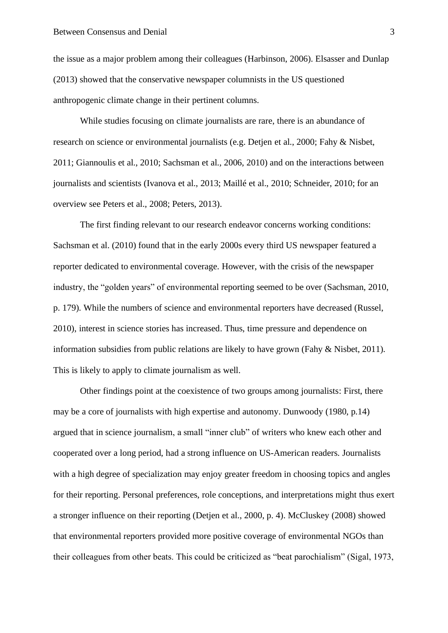the issue as a major problem among their colleagues (Harbinson, 2006). Elsasser and Dunlap (2013) showed that the conservative newspaper columnists in the US questioned anthropogenic climate change in their pertinent columns.

While studies focusing on climate journalists are rare, there is an abundance of research on science or environmental journalists (e.g. Detjen et al., 2000; Fahy & Nisbet, 2011; Giannoulis et al., 2010; Sachsman et al., 2006, 2010) and on the interactions between journalists and scientists (Ivanova et al., 2013; Maillé et al., 2010; Schneider, 2010; for an overview see Peters et al., 2008; Peters, 2013).

The first finding relevant to our research endeavor concerns working conditions: Sachsman et al. (2010) found that in the early 2000s every third US newspaper featured a reporter dedicated to environmental coverage. However, with the crisis of the newspaper industry, the "golden years" of environmental reporting seemed to be over (Sachsman, 2010, p. 179). While the numbers of science and environmental reporters have decreased (Russel, 2010), interest in science stories has increased. Thus, time pressure and dependence on information subsidies from public relations are likely to have grown (Fahy & Nisbet, 2011). This is likely to apply to climate journalism as well.

Other findings point at the coexistence of two groups among journalists: First, there may be a core of journalists with high expertise and autonomy. Dunwoody (1980, p.14) argued that in science journalism, a small "inner club" of writers who knew each other and cooperated over a long period, had a strong influence on US-American readers. Journalists with a high degree of specialization may enjoy greater freedom in choosing topics and angles for their reporting. Personal preferences, role conceptions, and interpretations might thus exert a stronger influence on their reporting (Detjen et al., 2000, p. 4). McCluskey (2008) showed that environmental reporters provided more positive coverage of environmental NGOs than their colleagues from other beats. This could be criticized as "beat parochialism" (Sigal, 1973,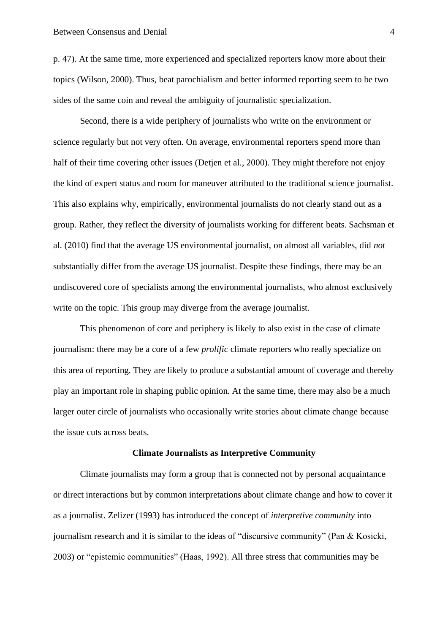p. 47). At the same time, more experienced and specialized reporters know more about their topics (Wilson, 2000). Thus, beat parochialism and better informed reporting seem to be two sides of the same coin and reveal the ambiguity of journalistic specialization.

Second, there is a wide periphery of journalists who write on the environment or science regularly but not very often. On average, environmental reporters spend more than half of their time covering other issues (Detien et al., 2000). They might therefore not enjoy the kind of expert status and room for maneuver attributed to the traditional science journalist. This also explains why, empirically, environmental journalists do not clearly stand out as a group. Rather, they reflect the diversity of journalists working for different beats. Sachsman et al. (2010) find that the average US environmental journalist, on almost all variables, did *not* substantially differ from the average US journalist. Despite these findings, there may be an undiscovered core of specialists among the environmental journalists, who almost exclusively write on the topic. This group may diverge from the average journalist.

This phenomenon of core and periphery is likely to also exist in the case of climate journalism: there may be a core of a few *prolific* climate reporters who really specialize on this area of reporting. They are likely to produce a substantial amount of coverage and thereby play an important role in shaping public opinion. At the same time, there may also be a much larger outer circle of journalists who occasionally write stories about climate change because the issue cuts across beats.

#### **Climate Journalists as Interpretive Community**

Climate journalists may form a group that is connected not by personal acquaintance or direct interactions but by common interpretations about climate change and how to cover it as a journalist. Zelizer (1993) has introduced the concept of *interpretive community* into journalism research and it is similar to the ideas of "discursive community" (Pan & Kosicki, 2003) or "epistemic communities" (Haas, 1992). All three stress that communities may be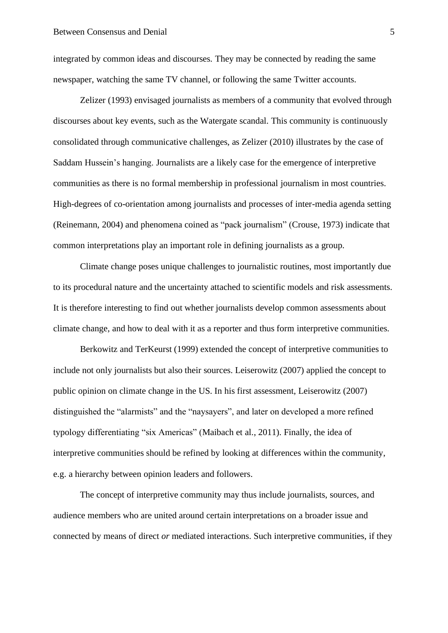integrated by common ideas and discourses. They may be connected by reading the same newspaper, watching the same TV channel, or following the same Twitter accounts.

Zelizer (1993) envisaged journalists as members of a community that evolved through discourses about key events, such as the Watergate scandal. This community is continuously consolidated through communicative challenges, as Zelizer (2010) illustrates by the case of Saddam Hussein's hanging. Journalists are a likely case for the emergence of interpretive communities as there is no formal membership in professional journalism in most countries. High-degrees of co-orientation among journalists and processes of inter-media agenda setting (Reinemann, 2004) and phenomena coined as "pack journalism" (Crouse, 1973) indicate that common interpretations play an important role in defining journalists as a group.

Climate change poses unique challenges to journalistic routines, most importantly due to its procedural nature and the uncertainty attached to scientific models and risk assessments. It is therefore interesting to find out whether journalists develop common assessments about climate change, and how to deal with it as a reporter and thus form interpretive communities.

Berkowitz and TerKeurst (1999) extended the concept of interpretive communities to include not only journalists but also their sources. Leiserowitz (2007) applied the concept to public opinion on climate change in the US. In his first assessment, Leiserowitz (2007) distinguished the "alarmists" and the "naysayers", and later on developed a more refined typology differentiating "six Americas" (Maibach et al., 2011). Finally, the idea of interpretive communities should be refined by looking at differences within the community, e.g. a hierarchy between opinion leaders and followers.

The concept of interpretive community may thus include journalists, sources, and audience members who are united around certain interpretations on a broader issue and connected by means of direct *or* mediated interactions. Such interpretive communities, if they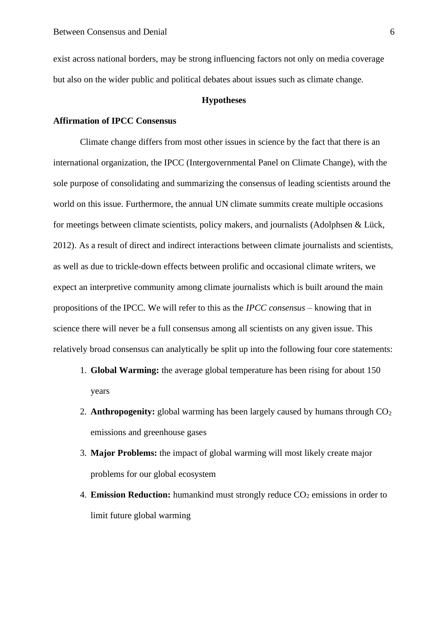exist across national borders, may be strong influencing factors not only on media coverage but also on the wider public and political debates about issues such as climate change.

#### **Hypotheses**

# **Affirmation of IPCC Consensus**

Climate change differs from most other issues in science by the fact that there is an international organization, the IPCC (Intergovernmental Panel on Climate Change), with the sole purpose of consolidating and summarizing the consensus of leading scientists around the world on this issue. Furthermore, the annual UN climate summits create multiple occasions for meetings between climate scientists, policy makers, and journalists (Adolphsen & Lück, 2012). As a result of direct and indirect interactions between climate journalists and scientists, as well as due to trickle-down effects between prolific and occasional climate writers, we expect an interpretive community among climate journalists which is built around the main propositions of the IPCC. We will refer to this as the *IPCC consensus* – knowing that in science there will never be a full consensus among all scientists on any given issue. This relatively broad consensus can analytically be split up into the following four core statements:

- 1. **Global Warming:** the average global temperature has been rising for about 150 years
- 2. **Anthropogenity:** global warming has been largely caused by humans through  $CO<sub>2</sub>$ emissions and greenhouse gases
- 3. **Major Problems:** the impact of global warming will most likely create major problems for our global ecosystem
- 4. **Emission Reduction:** humankind must strongly reduce CO<sub>2</sub> emissions in order to limit future global warming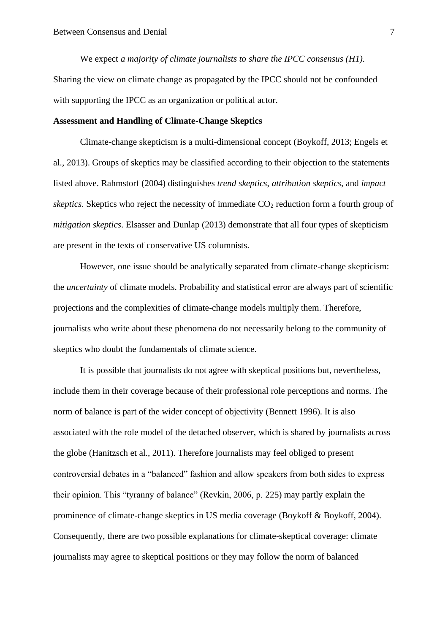We expect *a majority of climate journalists to share the IPCC consensus (H1).* Sharing the view on climate change as propagated by the IPCC should not be confounded with supporting the IPCC as an organization or political actor.

## **Assessment and Handling of Climate-Change Skeptics**

Climate-change skepticism is a multi-dimensional concept (Boykoff, 2013; Engels et al., 2013). Groups of skeptics may be classified according to their objection to the statements listed above. Rahmstorf (2004) distinguishes *trend skeptics*, *attribution skeptics*, and *impact skeptics*. Skeptics who reject the necessity of immediate CO<sub>2</sub> reduction form a fourth group of *mitigation skeptics*. Elsasser and Dunlap (2013) demonstrate that all four types of skepticism are present in the texts of conservative US columnists.

However, one issue should be analytically separated from climate-change skepticism: the *uncertainty* of climate models. Probability and statistical error are always part of scientific projections and the complexities of climate-change models multiply them. Therefore, journalists who write about these phenomena do not necessarily belong to the community of skeptics who doubt the fundamentals of climate science.

It is possible that journalists do not agree with skeptical positions but, nevertheless, include them in their coverage because of their professional role perceptions and norms. The norm of balance is part of the wider concept of objectivity (Bennett 1996). It is also associated with the role model of the detached observer, which is shared by journalists across the globe (Hanitzsch et al., 2011). Therefore journalists may feel obliged to present controversial debates in a "balanced" fashion and allow speakers from both sides to express their opinion. This "tyranny of balance" (Revkin, 2006, p. 225) may partly explain the prominence of climate-change skeptics in US media coverage (Boykoff & Boykoff, 2004). Consequently, there are two possible explanations for climate-skeptical coverage: climate journalists may agree to skeptical positions or they may follow the norm of balanced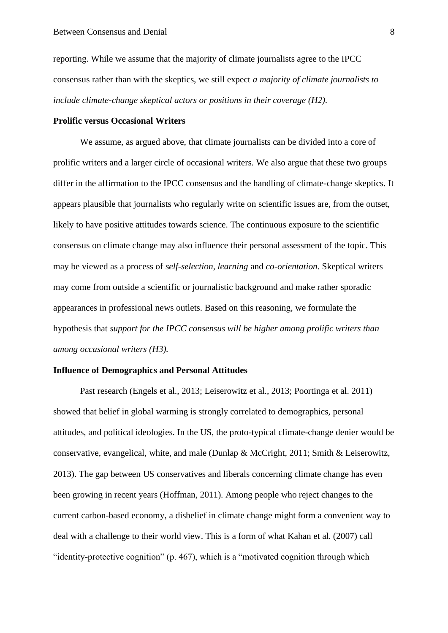reporting. While we assume that the majority of climate journalists agree to the IPCC consensus rather than with the skeptics, we still expect *a majority of climate journalists to include climate-change skeptical actors or positions in their coverage (H2).*

# **Prolific versus Occasional Writers**

We assume, as argued above, that climate journalists can be divided into a core of prolific writers and a larger circle of occasional writers. We also argue that these two groups differ in the affirmation to the IPCC consensus and the handling of climate-change skeptics. It appears plausible that journalists who regularly write on scientific issues are, from the outset, likely to have positive attitudes towards science. The continuous exposure to the scientific consensus on climate change may also influence their personal assessment of the topic. This may be viewed as a process of *self-selection*, *learning* and *co-orientation*. Skeptical writers may come from outside a scientific or journalistic background and make rather sporadic appearances in professional news outlets. Based on this reasoning, we formulate the hypothesis that *support for the IPCC consensus will be higher among prolific writers than among occasional writers (H3).*

# **Influence of Demographics and Personal Attitudes**

Past research (Engels et al., 2013; Leiserowitz et al., 2013; Poortinga et al. 2011) showed that belief in global warming is strongly correlated to demographics, personal attitudes, and political ideologies. In the US, the proto-typical climate-change denier would be conservative, evangelical, white, and male (Dunlap & McCright, 2011; Smith & Leiserowitz, 2013). The gap between US conservatives and liberals concerning climate change has even been growing in recent years (Hoffman, 2011). Among people who reject changes to the current carbon-based economy, a disbelief in climate change might form a convenient way to deal with a challenge to their world view. This is a form of what Kahan et al. (2007) call "identity-protective cognition" (p. 467), which is a "motivated cognition through which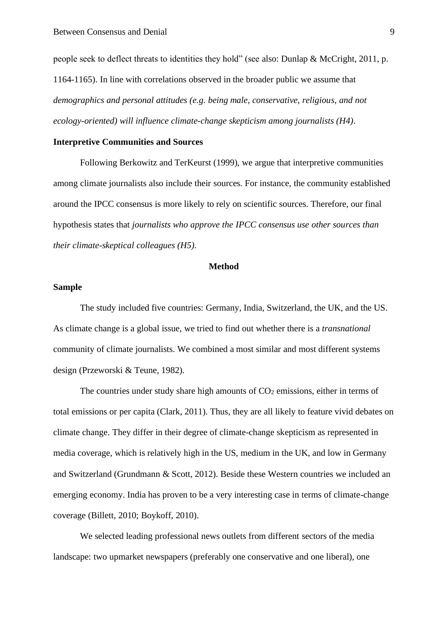people seek to deflect threats to identities they hold" (see also: Dunlap & McCright, 2011, p. 1164-1165). In line with correlations observed in the broader public we assume that *demographics and personal attitudes (e.g. being male, conservative, religious, and not ecology-oriented) will influence climate-change skepticism among journalists (H4)*.

## **Interpretive Communities and Sources**

Following Berkowitz and TerKeurst (1999), we argue that interpretive communities among climate journalists also include their sources. For instance, the community established around the IPCC consensus is more likely to rely on scientific sources. Therefore, our final hypothesis states that *journalists who approve the IPCC consensus use other sources than their climate-skeptical colleagues (H5).*

#### **Method**

## **Sample**

The study included five countries: Germany, India, Switzerland, the UK, and the US. As climate change is a global issue, we tried to find out whether there is a *transnational* community of climate journalists. We combined a most similar and most different systems design (Przeworski & Teune, 1982)*.*

The countries under study share high amounts of  $CO<sub>2</sub>$  emissions, either in terms of total emissions or per capita (Clark, 2011). Thus, they are all likely to feature vivid debates on climate change. They differ in their degree of climate-change skepticism as represented in media coverage, which is relatively high in the US, medium in the UK, and low in Germany and Switzerland (Grundmann & Scott, 2012). Beside these Western countries we included an emerging economy. India has proven to be a very interesting case in terms of climate-change coverage (Billett, 2010; Boykoff, 2010).

We selected leading professional news outlets from different sectors of the media landscape: two upmarket newspapers (preferably one conservative and one liberal), one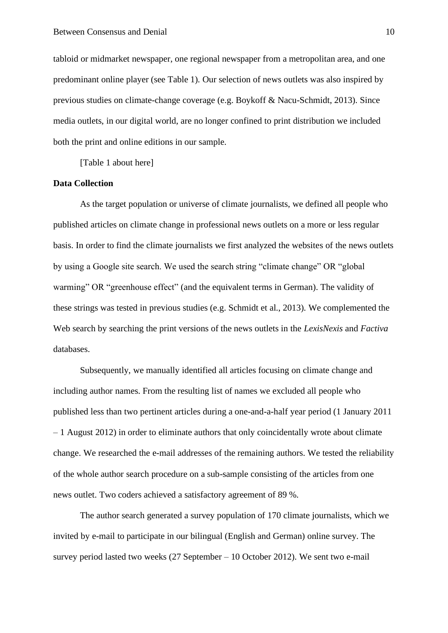tabloid or midmarket newspaper, one regional newspaper from a metropolitan area, and one predominant online player (see Table 1). Our selection of news outlets was also inspired by previous studies on climate-change coverage (e.g. Boykoff & Nacu-Schmidt, 2013). Since media outlets, in our digital world, are no longer confined to print distribution we included both the print and online editions in our sample.

[Table 1 about here]

#### **Data Collection**

As the target population or universe of climate journalists, we defined all people who published articles on climate change in professional news outlets on a more or less regular basis. In order to find the climate journalists we first analyzed the websites of the news outlets by using a Google site search. We used the search string "climate change" OR "global warming" OR "greenhouse effect" (and the equivalent terms in German). The validity of these strings was tested in previous studies (e.g. Schmidt et al., 2013). We complemented the Web search by searching the print versions of the news outlets in the *LexisNexis* and *Factiva* databases.

Subsequently, we manually identified all articles focusing on climate change and including author names. From the resulting list of names we excluded all people who published less than two pertinent articles during a one-and-a-half year period (1 January 2011  $-1$  August 2012) in order to eliminate authors that only coincidentally wrote about climate change. We researched the e-mail addresses of the remaining authors. We tested the reliability of the whole author search procedure on a sub-sample consisting of the articles from one news outlet. Two coders achieved a satisfactory agreement of 89 %.

The author search generated a survey population of 170 climate journalists, which we invited by e-mail to participate in our bilingual (English and German) online survey. The survey period lasted two weeks (27 September – 10 October 2012). We sent two e-mail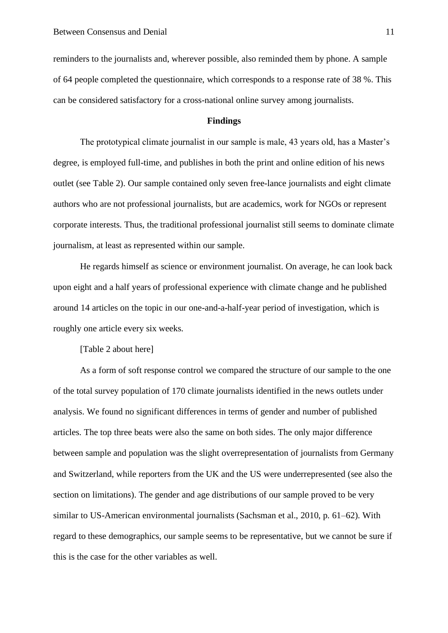reminders to the journalists and, wherever possible, also reminded them by phone. A sample of 64 people completed the questionnaire, which corresponds to a response rate of 38 %. This can be considered satisfactory for a cross-national online survey among journalists.

# **Findings**

The prototypical climate journalist in our sample is male, 43 years old, has a Master's degree, is employed full-time, and publishes in both the print and online edition of his news outlet (see Table 2). Our sample contained only seven free-lance journalists and eight climate authors who are not professional journalists, but are academics, work for NGOs or represent corporate interests. Thus, the traditional professional journalist still seems to dominate climate journalism, at least as represented within our sample.

He regards himself as science or environment journalist. On average, he can look back upon eight and a half years of professional experience with climate change and he published around 14 articles on the topic in our one-and-a-half-year period of investigation, which is roughly one article every six weeks.

[Table 2 about here]

As a form of soft response control we compared the structure of our sample to the one of the total survey population of 170 climate journalists identified in the news outlets under analysis. We found no significant differences in terms of gender and number of published articles. The top three beats were also the same on both sides. The only major difference between sample and population was the slight overrepresentation of journalists from Germany and Switzerland, while reporters from the UK and the US were underrepresented (see also the section on limitations). The gender and age distributions of our sample proved to be very similar to US-American environmental journalists (Sachsman et al., 2010, p. 61–62). With regard to these demographics, our sample seems to be representative, but we cannot be sure if this is the case for the other variables as well.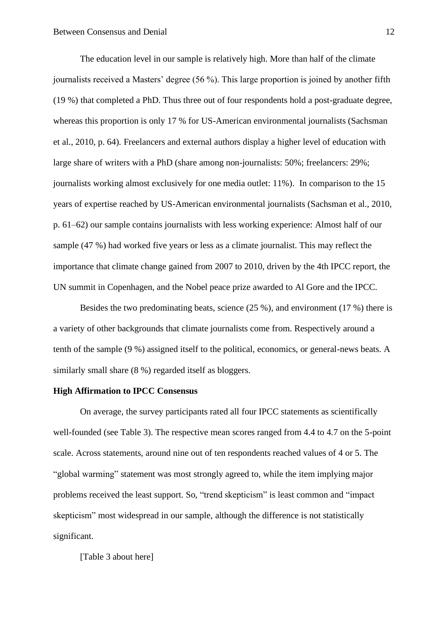The education level in our sample is relatively high. More than half of the climate journalists received a Masters' degree (56 %). This large proportion is joined by another fifth (19 %) that completed a PhD. Thus three out of four respondents hold a post-graduate degree, whereas this proportion is only 17 % for US-American environmental journalists (Sachsman et al., 2010, p. 64). Freelancers and external authors display a higher level of education with large share of writers with a PhD (share among non-journalists: 50%; freelancers: 29%; journalists working almost exclusively for one media outlet: 11%). In comparison to the 15 years of expertise reached by US-American environmental journalists (Sachsman et al., 2010, p. 61–62) our sample contains journalists with less working experience: Almost half of our sample (47 %) had worked five years or less as a climate journalist. This may reflect the importance that climate change gained from 2007 to 2010, driven by the 4th IPCC report, the UN summit in Copenhagen, and the Nobel peace prize awarded to Al Gore and the IPCC.

Besides the two predominating beats, science (25 %), and environment (17 %) there is a variety of other backgrounds that climate journalists come from. Respectively around a tenth of the sample (9 %) assigned itself to the political, economics, or general-news beats. A similarly small share (8 %) regarded itself as bloggers.

## **High Affirmation to IPCC Consensus**

On average, the survey participants rated all four IPCC statements as scientifically well-founded (see Table 3). The respective mean scores ranged from 4.4 to 4.7 on the 5-point scale. Across statements, around nine out of ten respondents reached values of 4 or 5. The "global warming" statement was most strongly agreed to, while the item implying major problems received the least support. So, "trend skepticism" is least common and "impact skepticism" most widespread in our sample, although the difference is not statistically significant.

[Table 3 about here]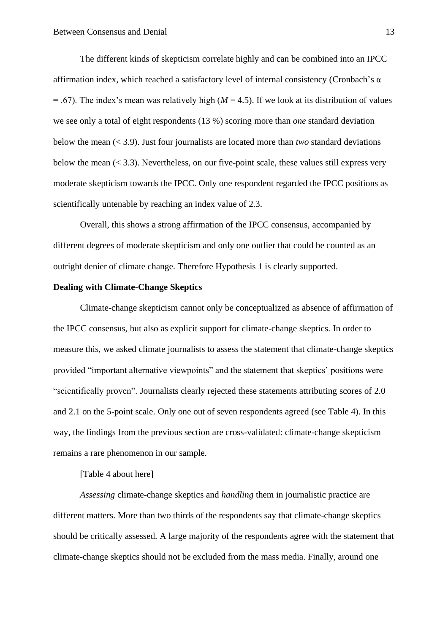The different kinds of skepticism correlate highly and can be combined into an IPCC affirmation index, which reached a satisfactory level of internal consistency (Cronbach's  $\alpha$ )  $=$  .67). The index's mean was relatively high ( $M = 4.5$ ). If we look at its distribution of values we see only a total of eight respondents (13 %) scoring more than *one* standard deviation below the mean (< 3.9). Just four journalists are located more than *two* standard deviations below the mean  $( $3.3$ ). Nevertheless, on our five-point scale, these values still express very$ moderate skepticism towards the IPCC. Only one respondent regarded the IPCC positions as scientifically untenable by reaching an index value of 2.3.

Overall, this shows a strong affirmation of the IPCC consensus, accompanied by different degrees of moderate skepticism and only one outlier that could be counted as an outright denier of climate change. Therefore Hypothesis 1 is clearly supported.

# **Dealing with Climate-Change Skeptics**

Climate-change skepticism cannot only be conceptualized as absence of affirmation of the IPCC consensus, but also as explicit support for climate-change skeptics. In order to measure this, we asked climate journalists to assess the statement that climate-change skeptics provided "important alternative viewpoints" and the statement that skeptics' positions were "scientifically proven". Journalists clearly rejected these statements attributing scores of 2.0 and 2.1 on the 5-point scale. Only one out of seven respondents agreed (see Table 4). In this way, the findings from the previous section are cross-validated: climate-change skepticism remains a rare phenomenon in our sample.

# [Table 4 about here]

*Assessing* climate-change skeptics and *handling* them in journalistic practice are different matters. More than two thirds of the respondents say that climate-change skeptics should be critically assessed. A large majority of the respondents agree with the statement that climate-change skeptics should not be excluded from the mass media. Finally, around one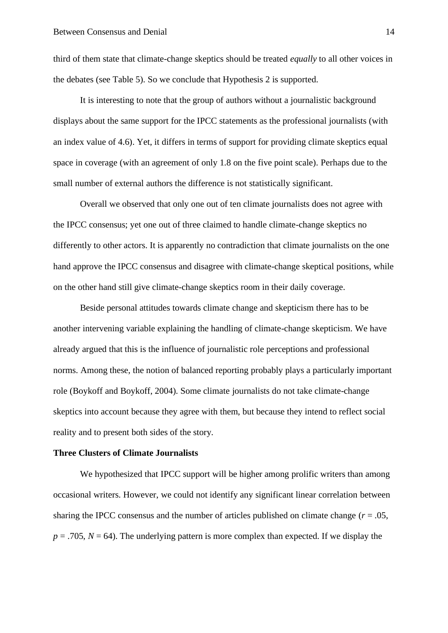third of them state that climate-change skeptics should be treated *equally* to all other voices in the debates (see Table 5). So we conclude that Hypothesis 2 is supported.

It is interesting to note that the group of authors without a journalistic background displays about the same support for the IPCC statements as the professional journalists (with an index value of 4.6). Yet, it differs in terms of support for providing climate skeptics equal space in coverage (with an agreement of only 1.8 on the five point scale). Perhaps due to the small number of external authors the difference is not statistically significant.

Overall we observed that only one out of ten climate journalists does not agree with the IPCC consensus; yet one out of three claimed to handle climate-change skeptics no differently to other actors. It is apparently no contradiction that climate journalists on the one hand approve the IPCC consensus and disagree with climate-change skeptical positions, while on the other hand still give climate-change skeptics room in their daily coverage.

Beside personal attitudes towards climate change and skepticism there has to be another intervening variable explaining the handling of climate-change skepticism. We have already argued that this is the influence of journalistic role perceptions and professional norms. Among these, the notion of balanced reporting probably plays a particularly important role (Boykoff and Boykoff, 2004). Some climate journalists do not take climate-change skeptics into account because they agree with them, but because they intend to reflect social reality and to present both sides of the story.

#### **Three Clusters of Climate Journalists**

We hypothesized that IPCC support will be higher among prolific writers than among occasional writers. However, we could not identify any significant linear correlation between sharing the IPCC consensus and the number of articles published on climate change  $(r = .05, )$  $p = .705$ ,  $N = 64$ ). The underlying pattern is more complex than expected. If we display the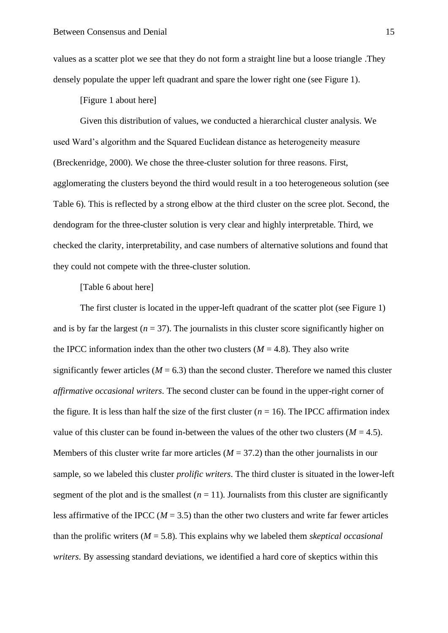values as a scatter plot we see that they do not form a straight line but a loose triangle .They densely populate the upper left quadrant and spare the lower right one (see Figure 1).

[Figure 1 about here]

Given this distribution of values, we conducted a hierarchical cluster analysis. We used Ward's algorithm and the Squared Euclidean distance as heterogeneity measure (Breckenridge, 2000). We chose the three-cluster solution for three reasons. First, agglomerating the clusters beyond the third would result in a too heterogeneous solution (see Table 6). This is reflected by a strong elbow at the third cluster on the scree plot. Second, the dendogram for the three-cluster solution is very clear and highly interpretable. Third, we checked the clarity, interpretability, and case numbers of alternative solutions and found that they could not compete with the three-cluster solution.

# [Table 6 about here]

The first cluster is located in the upper-left quadrant of the scatter plot (see Figure 1) and is by far the largest  $(n = 37)$ . The journalists in this cluster score significantly higher on the IPCC information index than the other two clusters  $(M = 4.8)$ . They also write significantly fewer articles ( $M = 6.3$ ) than the second cluster. Therefore we named this cluster *affirmative occasional writers*. The second cluster can be found in the upper-right corner of the figure. It is less than half the size of the first cluster  $(n = 16)$ . The IPCC affirmation index value of this cluster can be found in-between the values of the other two clusters  $(M = 4.5)$ . Members of this cluster write far more articles ( $M = 37.2$ ) than the other journalists in our sample, so we labeled this cluster *prolific writers*. The third cluster is situated in the lower-left segment of the plot and is the smallest  $(n = 11)$ . Journalists from this cluster are significantly less affirmative of the IPCC ( $M = 3.5$ ) than the other two clusters and write far fewer articles than the prolific writers (*M* = 5.8). This explains why we labeled them *skeptical occasional writers*. By assessing standard deviations, we identified a hard core of skeptics within this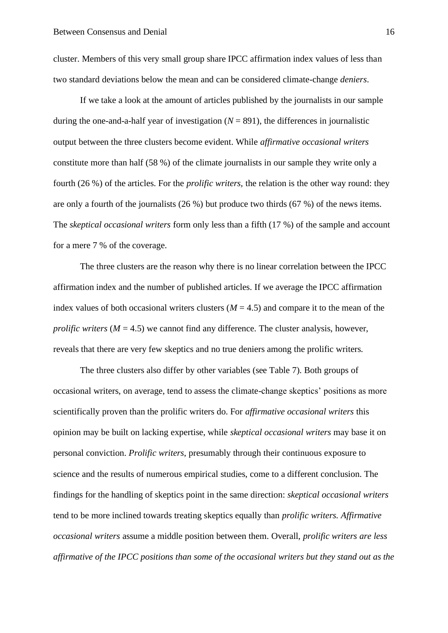cluster. Members of this very small group share IPCC affirmation index values of less than two standard deviations below the mean and can be considered climate-change *deniers*.

If we take a look at the amount of articles published by the journalists in our sample during the one-and-a-half year of investigation  $(N = 891)$ , the differences in journalistic output between the three clusters become evident. While *affirmative occasional writers*  constitute more than half (58 %) of the climate journalists in our sample they write only a fourth (26 %) of the articles. For the *prolific writers,* the relation is the other way round: they are only a fourth of the journalists (26 %) but produce two thirds (67 %) of the news items. The *skeptical occasional writers* form only less than a fifth (17 %) of the sample and account for a mere 7 % of the coverage.

The three clusters are the reason why there is no linear correlation between the IPCC affirmation index and the number of published articles. If we average the IPCC affirmation index values of both occasional writers clusters  $(M = 4.5)$  and compare it to the mean of the *prolific writers*  $(M = 4.5)$  we cannot find any difference. The cluster analysis, however, reveals that there are very few skeptics and no true deniers among the prolific writers.

The three clusters also differ by other variables (see Table 7). Both groups of occasional writers, on average, tend to assess the climate-change skeptics' positions as more scientifically proven than the prolific writers do. For *affirmative occasional writers* this opinion may be built on lacking expertise, while *skeptical occasional writers* may base it on personal conviction. *Prolific writers*, presumably through their continuous exposure to science and the results of numerous empirical studies, come to a different conclusion. The findings for the handling of skeptics point in the same direction: *skeptical occasional writers* tend to be more inclined towards treating skeptics equally than *prolific writers. Affirmative occasional writers* assume a middle position between them. Overall, *prolific writers are less affirmative of the IPCC positions than some of the occasional writers but they stand out as the*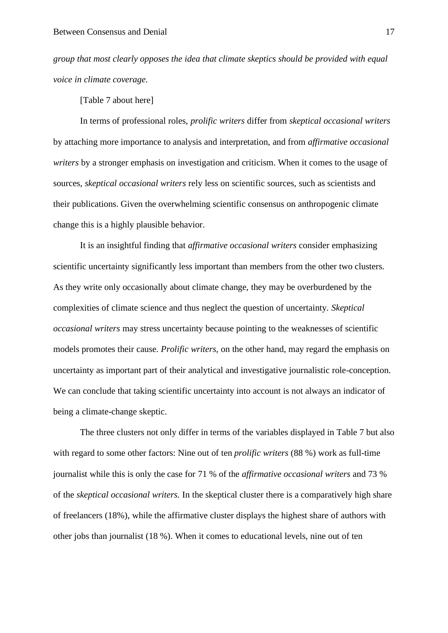*group that most clearly opposes the idea that climate skeptics should be provided with equal voice in climate coverage.*

[Table 7 about here]

In terms of professional roles, *prolific writers* differ from *skeptical occasional writers*  by attaching more importance to analysis and interpretation, and from *affirmative occasional writers* by a stronger emphasis on investigation and criticism. When it comes to the usage of sources, *skeptical occasional writers* rely less on scientific sources, such as scientists and their publications. Given the overwhelming scientific consensus on anthropogenic climate change this is a highly plausible behavior.

It is an insightful finding that *affirmative occasional writers* consider emphasizing scientific uncertainty significantly less important than members from the other two clusters. As they write only occasionally about climate change, they may be overburdened by the complexities of climate science and thus neglect the question of uncertainty. *Skeptical occasional writers* may stress uncertainty because pointing to the weaknesses of scientific models promotes their cause. *Prolific writers,* on the other hand, may regard the emphasis on uncertainty as important part of their analytical and investigative journalistic role-conception. We can conclude that taking scientific uncertainty into account is not always an indicator of being a climate-change skeptic.

The three clusters not only differ in terms of the variables displayed in Table 7 but also with regard to some other factors: Nine out of ten *prolific writers* (88 %) work as full-time journalist while this is only the case for 71 % of the *affirmative occasional writers* and 73 % of the *skeptical occasional writers.* In the skeptical cluster there is a comparatively high share of freelancers (18%), while the affirmative cluster displays the highest share of authors with other jobs than journalist (18 %). When it comes to educational levels, nine out of ten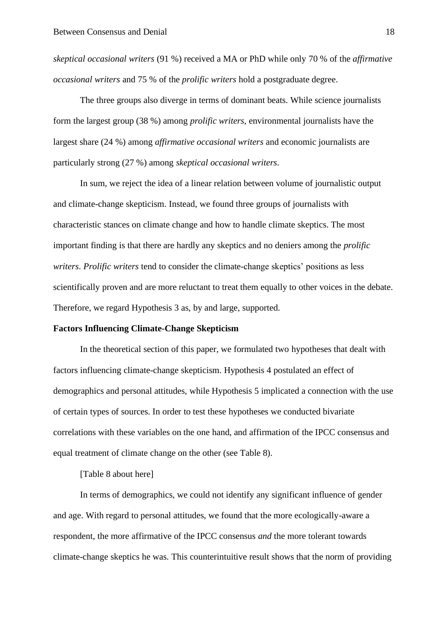*skeptical occasional writers* (91 %) received a MA or PhD while only 70 % of the *affirmative occasional writers* and 75 % of the *prolific writers* hold a postgraduate degree.

The three groups also diverge in terms of dominant beats. While science journalists form the largest group (38 %) among *prolific writers*, environmental journalists have the largest share (24 %) among *affirmative occasional writers* and economic journalists are particularly strong (27 %) among *skeptical occasional writers*.

In sum, we reject the idea of a linear relation between volume of journalistic output and climate-change skepticism. Instead, we found three groups of journalists with characteristic stances on climate change and how to handle climate skeptics. The most important finding is that there are hardly any skeptics and no deniers among the *prolific writers*. *Prolific writers* tend to consider the climate-change skeptics' positions as less scientifically proven and are more reluctant to treat them equally to other voices in the debate. Therefore, we regard Hypothesis 3 as, by and large, supported.

#### **Factors Influencing Climate-Change Skepticism**

In the theoretical section of this paper, we formulated two hypotheses that dealt with factors influencing climate-change skepticism. Hypothesis 4 postulated an effect of demographics and personal attitudes, while Hypothesis 5 implicated a connection with the use of certain types of sources. In order to test these hypotheses we conducted bivariate correlations with these variables on the one hand, and affirmation of the IPCC consensus and equal treatment of climate change on the other (see Table 8).

[Table 8 about here]

In terms of demographics, we could not identify any significant influence of gender and age. With regard to personal attitudes, we found that the more ecologically-aware a respondent, the more affirmative of the IPCC consensus *and* the more tolerant towards climate-change skeptics he was. This counterintuitive result shows that the norm of providing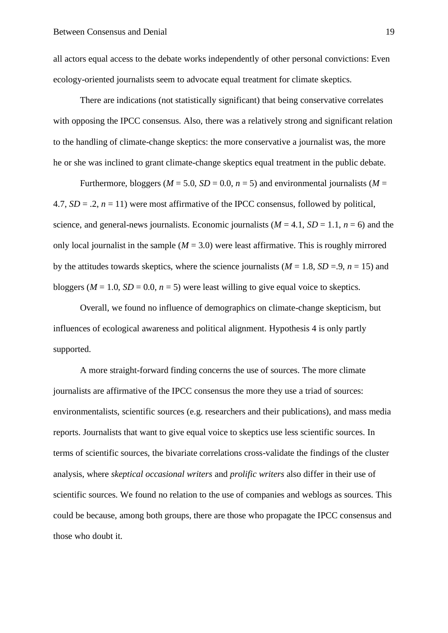all actors equal access to the debate works independently of other personal convictions: Even ecology-oriented journalists seem to advocate equal treatment for climate skeptics.

There are indications (not statistically significant) that being conservative correlates with opposing the IPCC consensus. Also, there was a relatively strong and significant relation to the handling of climate-change skeptics: the more conservative a journalist was, the more he or she was inclined to grant climate-change skeptics equal treatment in the public debate.

Furthermore, bloggers ( $M = 5.0$ ,  $SD = 0.0$ ,  $n = 5$ ) and environmental journalists ( $M =$ 4.7,  $SD = .2$ ,  $n = 11$ ) were most affirmative of the IPCC consensus, followed by political, science, and general-news journalists. Economic journalists  $(M = 4.1, SD = 1.1, n = 6)$  and the only local journalist in the sample  $(M = 3.0)$  were least affirmative. This is roughly mirrored by the attitudes towards skeptics, where the science journalists  $(M = 1.8, SD = .9, n = 15)$  and bloggers ( $M = 1.0$ ,  $SD = 0.0$ ,  $n = 5$ ) were least willing to give equal voice to skeptics.

Overall, we found no influence of demographics on climate-change skepticism, but influences of ecological awareness and political alignment. Hypothesis 4 is only partly supported.

A more straight-forward finding concerns the use of sources. The more climate journalists are affirmative of the IPCC consensus the more they use a triad of sources: environmentalists, scientific sources (e.g. researchers and their publications), and mass media reports. Journalists that want to give equal voice to skeptics use less scientific sources. In terms of scientific sources, the bivariate correlations cross-validate the findings of the cluster analysis, where *skeptical occasional writers* and *prolific writers* also differ in their use of scientific sources. We found no relation to the use of companies and weblogs as sources. This could be because, among both groups, there are those who propagate the IPCC consensus and those who doubt it.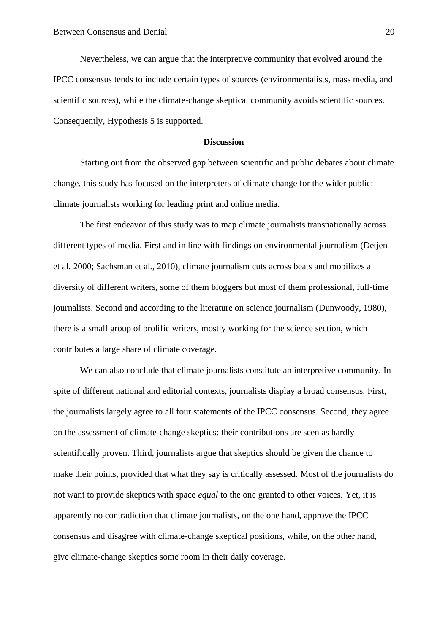Nevertheless, we can argue that the interpretive community that evolved around the IPCC consensus tends to include certain types of sources (environmentalists, mass media, and scientific sources), while the climate-change skeptical community avoids scientific sources. Consequently, Hypothesis 5 is supported.

#### **Discussion**

Starting out from the observed gap between scientific and public debates about climate change, this study has focused on the interpreters of climate change for the wider public: climate journalists working for leading print and online media.

The first endeavor of this study was to map climate journalists transnationally across different types of media. First and in line with findings on environmental journalism (Detjen et al. 2000; Sachsman et al., 2010), climate journalism cuts across beats and mobilizes a diversity of different writers, some of them bloggers but most of them professional, full-time journalists. Second and according to the literature on science journalism (Dunwoody, 1980), there is a small group of prolific writers, mostly working for the science section, which contributes a large share of climate coverage.

We can also conclude that climate journalists constitute an interpretive community. In spite of different national and editorial contexts, journalists display a broad consensus. First, the journalists largely agree to all four statements of the IPCC consensus. Second, they agree on the assessment of climate-change skeptics: their contributions are seen as hardly scientifically proven. Third, journalists argue that skeptics should be given the chance to make their points, provided that what they say is critically assessed. Most of the journalists do not want to provide skeptics with space *equal* to the one granted to other voices. Yet, it is apparently no contradiction that climate journalists, on the one hand, approve the IPCC consensus and disagree with climate-change skeptical positions, while, on the other hand, give climate-change skeptics some room in their daily coverage.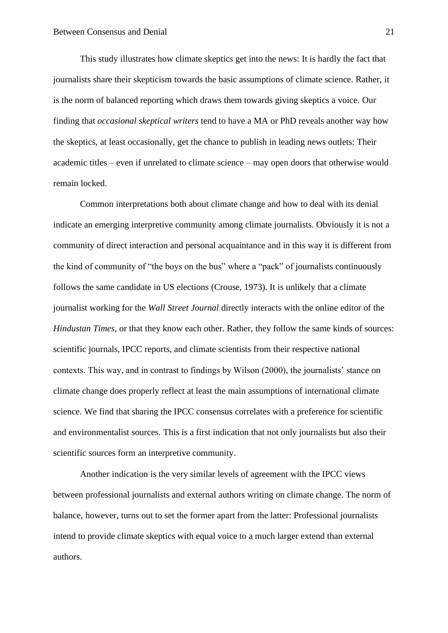This study illustrates how climate skeptics get into the news: It is hardly the fact that journalists share their skepticism towards the basic assumptions of climate science. Rather, it is the norm of balanced reporting which draws them towards giving skeptics a voice. Our finding that *occasional skeptical writers* tend to have a MA or PhD reveals another way how the skeptics, at least occasionally, get the chance to publish in leading news outlets: Their academic titles – even if unrelated to climate science – may open doors that otherwise would remain locked.

Common interpretations both about climate change and how to deal with its denial indicate an emerging interpretive community among climate journalists. Obviously it is not a community of direct interaction and personal acquaintance and in this way it is different from the kind of community of "the boys on the bus" where a "pack" of journalists continuously follows the same candidate in US elections (Crouse, 1973). It is unlikely that a climate journalist working for the *Wall Street Journal* directly interacts with the online editor of the *Hindustan Times*, or that they know each other. Rather, they follow the same kinds of sources: scientific journals, IPCC reports, and climate scientists from their respective national contexts. This way, and in contrast to findings by Wilson (2000), the journalists' stance on climate change does properly reflect at least the main assumptions of international climate science. We find that sharing the IPCC consensus correlates with a preference for scientific and environmentalist sources. This is a first indication that not only journalists but also their scientific sources form an interpretive community.

Another indication is the very similar levels of agreement with the IPCC views between professional journalists and external authors writing on climate change. The norm of balance, however, turns out to set the former apart from the latter: Professional journalists intend to provide climate skeptics with equal voice to a much larger extend than external authors.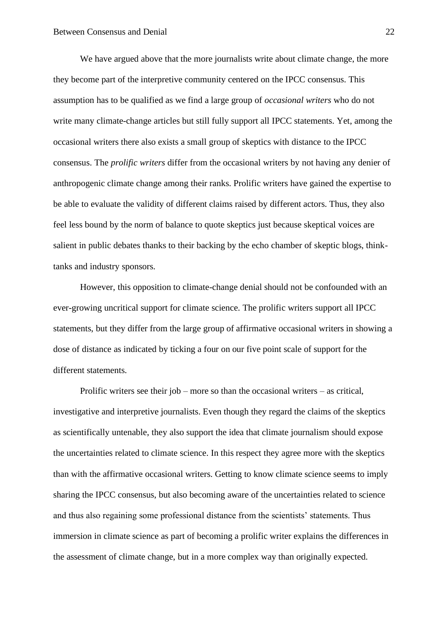We have argued above that the more journalists write about climate change, the more they become part of the interpretive community centered on the IPCC consensus. This assumption has to be qualified as we find a large group of *occasional writers* who do not write many climate-change articles but still fully support all IPCC statements. Yet, among the occasional writers there also exists a small group of skeptics with distance to the IPCC consensus. The *prolific writers* differ from the occasional writers by not having any denier of anthropogenic climate change among their ranks. Prolific writers have gained the expertise to be able to evaluate the validity of different claims raised by different actors. Thus, they also feel less bound by the norm of balance to quote skeptics just because skeptical voices are salient in public debates thanks to their backing by the echo chamber of skeptic blogs, thinktanks and industry sponsors.

However, this opposition to climate-change denial should not be confounded with an ever-growing uncritical support for climate science. The prolific writers support all IPCC statements, but they differ from the large group of affirmative occasional writers in showing a dose of distance as indicated by ticking a four on our five point scale of support for the different statements.

Prolific writers see their job – more so than the occasional writers – as critical, investigative and interpretive journalists. Even though they regard the claims of the skeptics as scientifically untenable, they also support the idea that climate journalism should expose the uncertainties related to climate science. In this respect they agree more with the skeptics than with the affirmative occasional writers. Getting to know climate science seems to imply sharing the IPCC consensus, but also becoming aware of the uncertainties related to science and thus also regaining some professional distance from the scientists' statements. Thus immersion in climate science as part of becoming a prolific writer explains the differences in the assessment of climate change, but in a more complex way than originally expected.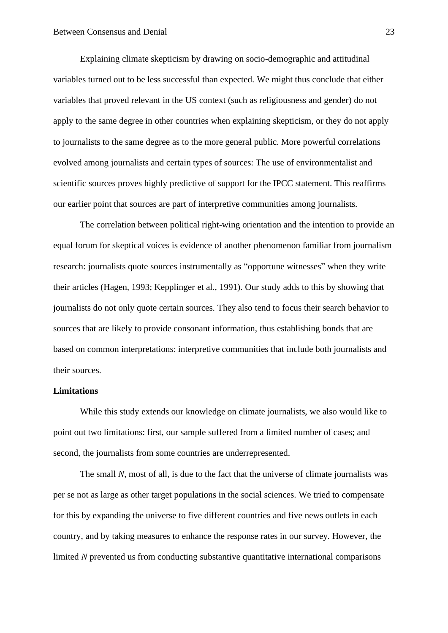Explaining climate skepticism by drawing on socio-demographic and attitudinal variables turned out to be less successful than expected. We might thus conclude that either variables that proved relevant in the US context (such as religiousness and gender) do not apply to the same degree in other countries when explaining skepticism, or they do not apply to journalists to the same degree as to the more general public. More powerful correlations evolved among journalists and certain types of sources: The use of environmentalist and scientific sources proves highly predictive of support for the IPCC statement. This reaffirms our earlier point that sources are part of interpretive communities among journalists.

The correlation between political right-wing orientation and the intention to provide an equal forum for skeptical voices is evidence of another phenomenon familiar from journalism research: journalists quote sources instrumentally as "opportune witnesses" when they write their articles (Hagen, 1993; Kepplinger et al., 1991). Our study adds to this by showing that journalists do not only quote certain sources. They also tend to focus their search behavior to sources that are likely to provide consonant information, thus establishing bonds that are based on common interpretations: interpretive communities that include both journalists and their sources.

# **Limitations**

While this study extends our knowledge on climate journalists, we also would like to point out two limitations: first, our sample suffered from a limited number of cases; and second, the journalists from some countries are underrepresented.

The small *N*, most of all, is due to the fact that the universe of climate journalists was per se not as large as other target populations in the social sciences. We tried to compensate for this by expanding the universe to five different countries and five news outlets in each country, and by taking measures to enhance the response rates in our survey. However, the limited *N* prevented us from conducting substantive quantitative international comparisons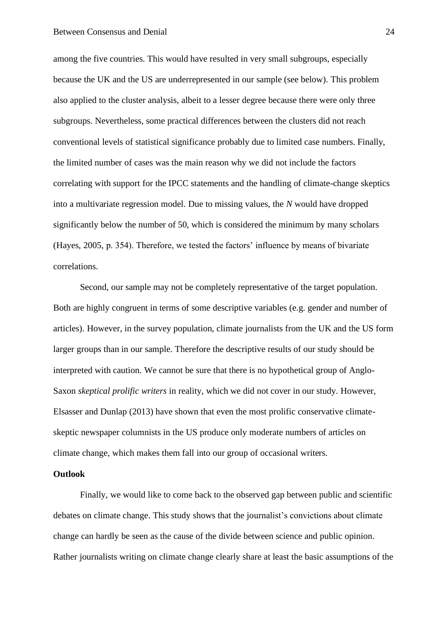among the five countries. This would have resulted in very small subgroups, especially because the UK and the US are underrepresented in our sample (see below). This problem also applied to the cluster analysis, albeit to a lesser degree because there were only three subgroups. Nevertheless, some practical differences between the clusters did not reach conventional levels of statistical significance probably due to limited case numbers. Finally, the limited number of cases was the main reason why we did not include the factors correlating with support for the IPCC statements and the handling of climate-change skeptics into a multivariate regression model. Due to missing values, the *N* would have dropped significantly below the number of 50, which is considered the minimum by many scholars (Hayes, 2005, p. 354). Therefore, we tested the factors' influence by means of bivariate correlations.

Second, our sample may not be completely representative of the target population. Both are highly congruent in terms of some descriptive variables (e.g. gender and number of articles). However, in the survey population, climate journalists from the UK and the US form larger groups than in our sample. Therefore the descriptive results of our study should be interpreted with caution. We cannot be sure that there is no hypothetical group of Anglo-Saxon *skeptical prolific writers* in reality, which we did not cover in our study. However, Elsasser and Dunlap (2013) have shown that even the most prolific conservative climateskeptic newspaper columnists in the US produce only moderate numbers of articles on climate change, which makes them fall into our group of occasional writers.

# **Outlook**

Finally, we would like to come back to the observed gap between public and scientific debates on climate change. This study shows that the journalist's convictions about climate change can hardly be seen as the cause of the divide between science and public opinion. Rather journalists writing on climate change clearly share at least the basic assumptions of the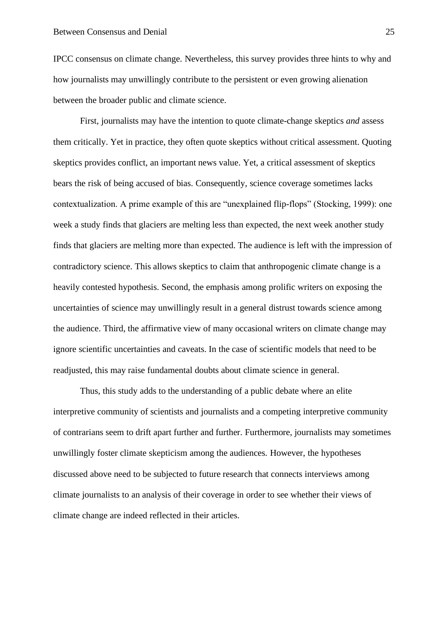IPCC consensus on climate change. Nevertheless, this survey provides three hints to why and how journalists may unwillingly contribute to the persistent or even growing alienation between the broader public and climate science.

First, journalists may have the intention to quote climate-change skeptics *and* assess them critically. Yet in practice, they often quote skeptics without critical assessment. Quoting skeptics provides conflict, an important news value. Yet, a critical assessment of skeptics bears the risk of being accused of bias. Consequently, science coverage sometimes lacks contextualization. A prime example of this are "unexplained flip-flops" (Stocking, 1999): one week a study finds that glaciers are melting less than expected, the next week another study finds that glaciers are melting more than expected. The audience is left with the impression of contradictory science. This allows skeptics to claim that anthropogenic climate change is a heavily contested hypothesis. Second, the emphasis among prolific writers on exposing the uncertainties of science may unwillingly result in a general distrust towards science among the audience. Third, the affirmative view of many occasional writers on climate change may ignore scientific uncertainties and caveats. In the case of scientific models that need to be readjusted, this may raise fundamental doubts about climate science in general.

Thus, this study adds to the understanding of a public debate where an elite interpretive community of scientists and journalists and a competing interpretive community of contrarians seem to drift apart further and further. Furthermore, journalists may sometimes unwillingly foster climate skepticism among the audiences. However, the hypotheses discussed above need to be subjected to future research that connects interviews among climate journalists to an analysis of their coverage in order to see whether their views of climate change are indeed reflected in their articles.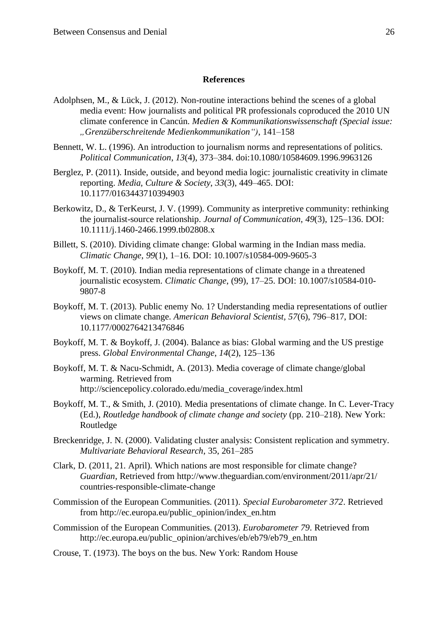#### **References**

- Adolphsen, M., & Lück, J. (2012). Non-routine interactions behind the scenes of a global media event: How journalists and political PR professionals coproduced the 2010 UN climate conference in Cancún. *Medien & Kommunikationswissenschaft (Special issue: "Grenzüberschreitende Medienkommunikation")*, 141–158
- Bennett, W. L. (1996). An introduction to journalism norms and representations of politics. *Political Communication*, *13*(4), 373–384. doi:10.1080/10584609.1996.9963126
- Berglez, P. (2011). Inside, outside, and beyond media logic: journalistic creativity in climate reporting. *Media, Culture & Society*, *33*(3), 449–465. DOI: 10.1177/0163443710394903
- Berkowitz, D., & TerKeurst, J. V. (1999). Community as interpretive community: rethinking the journalist-source relationship. *Journal of Communication*, *49*(3), 125–136. DOI: 10.1111/j.1460-2466.1999.tb02808.x
- Billett, S. (2010). Dividing climate change: Global warming in the Indian mass media. *Climatic Change*, *99*(1), 1–16. DOI: 10.1007/s10584-009-9605-3
- Boykoff, M. T. (2010). Indian media representations of climate change in a threatened journalistic ecosystem. *Climatic Change*, (99), 17–25. DOI: 10.1007/s10584-010- 9807-8
- Boykoff, M. T. (2013). Public enemy No. 1? Understanding media representations of outlier views on climate change. *American Behavioral Scientist, 57*(6), 796–817, DOI: 10.1177/0002764213476846
- Boykoff, M. T. & Boykoff, J. (2004). Balance as bias: Global warming and the US prestige press. *Global Environmental Change*, *14*(2), 125–136
- Boykoff, M. T. & Nacu-Schmidt, A. (2013). Media coverage of climate change/global warming. Retrieved from http://sciencepolicy.colorado.edu/media\_coverage/index.html
- Boykoff, M. T., & Smith, J. (2010). Media presentations of climate change. In C. Lever-Tracy (Ed.), *Routledge handbook of climate change and society* (pp. 210–218). New York: Routledge
- Breckenridge, J. N. (2000). Validating cluster analysis: Consistent replication and symmetry. *Multivariate Behavioral Research*, 35, 261–285
- Clark, D. (2011, 21. April). Which nations are most responsible for climate change? *Guardian*, Retrieved from http://www.theguardian.com/environment/2011/apr/21/ countries-responsible-climate-change
- Commission of the European Communities. (2011). *Special Eurobarometer 372*. Retrieved from http://ec.europa.eu/public\_opinion/index\_en.htm
- Commission of the European Communities. (2013). *Eurobarometer 79*. Retrieved from http://ec.europa.eu/public\_opinion/archives/eb/eb79/eb79\_en.htm
- Crouse, T. (1973). The boys on the bus. New York: Random House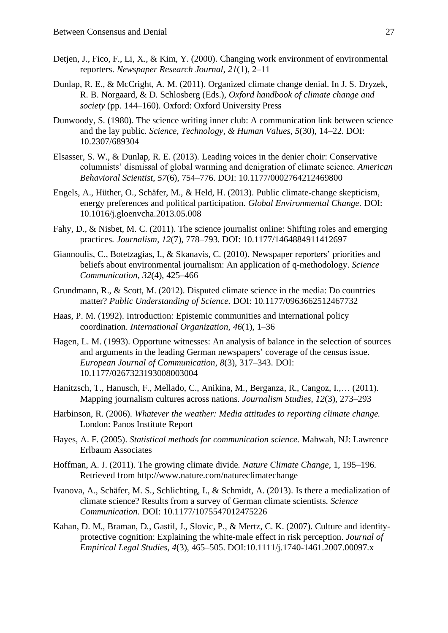- Detjen, J., Fico, F., Li, X., & Kim, Y. (2000). Changing work environment of environmental reporters. *Newspaper Research Journal*, *21*(1), 2–11
- Dunlap, R. E., & McCright, A. M. (2011). Organized climate change denial. In J. S. Dryzek, R. B. Norgaard, & D. Schlosberg (Eds.), *Oxford handbook of climate change and society* (pp. 144–160). Oxford: Oxford University Press
- Dunwoody, S. (1980). The science writing inner club: A communication link between science and the lay public. *Science, Technology, & Human Values*, *5*(30), 14–22. DOI: 10.2307/689304
- Elsasser, S. W., & Dunlap, R. E. (2013). Leading voices in the denier choir: Conservative columnists' dismissal of global warming and denigration of climate science. *American Behavioral Scientist*, *57*(6), 754–776. DOI: 10.1177/0002764212469800
- Engels, A., Hüther, O., Schäfer, M., & Held, H. (2013). Public climate-change skepticism, energy preferences and political participation. *Global Environmental Change.* DOI: 10.1016/j.gloenvcha.2013.05.008
- Fahy, D., & Nisbet, M. C. (2011). The science journalist online: Shifting roles and emerging practices. *Journalism, 12*(7), 778–793. DOI: 10.1177/1464884911412697
- Giannoulis, C., Botetzagias, I., & Skanavis, C. (2010). Newspaper reporters' priorities and beliefs about environmental journalism: An application of q-methodology. *Science Communication*, *32*(4), 425–466
- Grundmann, R., & Scott, M. (2012). Disputed climate science in the media: Do countries matter? *Public Understanding of Science.* DOI: 10.1177/0963662512467732
- Haas, P. M. (1992). Introduction: Epistemic communities and international policy coordination. *International Organization*, *46*(1), 1–36
- Hagen, L. M. (1993). Opportune witnesses: An analysis of balance in the selection of sources and arguments in the leading German newspapers' coverage of the census issue. *European Journal of Communication*, *8*(3), 317–343. DOI: 10.1177/0267323193008003004
- Hanitzsch, T., Hanusch, F., Mellado, C., Anikina, M., Berganza, R., Cangoz, I.,… (2011). Mapping journalism cultures across nations. *Journalism Studies*, *12*(3), 273–293
- Harbinson, R. (2006). *Whatever the weather: Media attitudes to reporting climate change.* London: Panos Institute Report
- Hayes, A. F. (2005). *Statistical methods for communication science.* Mahwah, NJ: Lawrence Erlbaum Associates
- Hoffman, A. J. (2011). The growing climate divide. *Nature Climate Change*, 1, 195–196. Retrieved from http://www.nature.com/natureclimatechange
- Ivanova, A., Schäfer, M. S., Schlichting, I., & Schmidt, A. (2013). Is there a medialization of climate science? Results from a survey of German climate scientists. *Science Communication.* DOI: 10.1177/1075547012475226
- Kahan, D. M., Braman, D., Gastil, J., Slovic, P., & Mertz, C. K. (2007). Culture and identityprotective cognition: Explaining the white-male effect in risk perception. *Journal of Empirical Legal Studies, 4*(3), 465–505. DOI:10.1111/j.1740-1461.2007.00097.x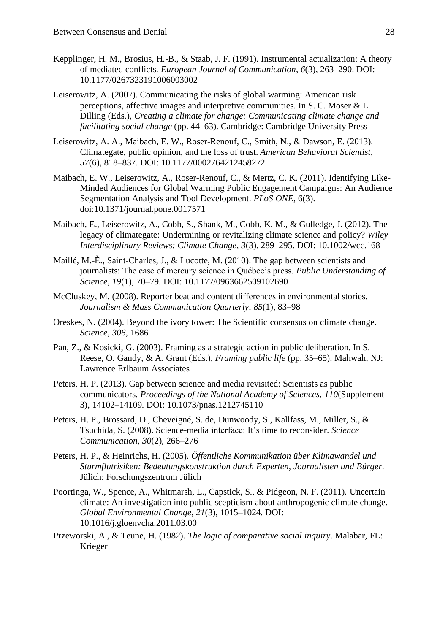- Kepplinger, H. M., Brosius, H.-B., & Staab, J. F. (1991). Instrumental actualization: A theory of mediated conflicts. *European Journal of Communication*, *6*(3), 263–290. DOI: 10.1177/0267323191006003002
- Leiserowitz, A. (2007). Communicating the risks of global warming: American risk perceptions, affective images and interpretive communities. In S. C. Moser & L. Dilling (Eds.), *Creating a climate for change: Communicating climate change and facilitating social change* (pp. 44–63). Cambridge: Cambridge University Press
- Leiserowitz, A. A., Maibach, E. W., Roser-Renouf, C., Smith, N., & Dawson, E. (2013). Climategate, public opinion, and the loss of trust. *American Behavioral Scientist*, *57*(6), 818–837. DOI: 10.1177/0002764212458272
- Maibach, E. W., Leiserowitz, A., Roser-Renouf, C., & Mertz, C. K. (2011). Identifying Like-Minded Audiences for Global Warming Public Engagement Campaigns: An Audience Segmentation Analysis and Tool Development. *PLoS ONE*, 6(3). doi:10.1371/journal.pone.0017571
- Maibach, E., Leiserowitz, A., Cobb, S., Shank, M., Cobb, K. M., & Gulledge, J. (2012). The legacy of climategate: Undermining or revitalizing climate science and policy? *Wiley Interdisciplinary Reviews: Climate Change*, *3*(3), 289–295. DOI: 10.1002/wcc.168
- Maillé, M.-È., Saint-Charles, J., & Lucotte, M. (2010). The gap between scientists and journalists: The case of mercury science in Québec's press. *Public Understanding of Science*, *19*(1), 70–79. DOI: 10.1177/0963662509102690
- McCluskey, M. (2008). Reporter beat and content differences in environmental stories. *Journalism & Mass Communication Quarterly*, *85*(1), 83–98
- Oreskes, N. (2004). Beyond the ivory tower: The Scientific consensus on climate change. *Science*, *306*, 1686
- Pan, Z., & Kosicki, G. (2003). Framing as a strategic action in public deliberation. In S. Reese, O. Gandy, & A. Grant (Eds.), *Framing public life* (pp. 35–65). Mahwah, NJ: Lawrence Erlbaum Associates
- Peters, H. P. (2013). Gap between science and media revisited: Scientists as public communicators. *Proceedings of the National Academy of Sciences*, *110*(Supplement 3), 14102–14109. DOI: 10.1073/pnas.1212745110
- Peters, H. P., Brossard, D., Cheveigné, S. de, Dunwoody, S., Kallfass, M., Miller, S., & Tsuchida, S. (2008). Science-media interface: It's time to reconsider. *Science Communication*, *30*(2), 266–276
- Peters, H. P., & Heinrichs, H. (2005). *Öffentliche Kommunikation über Klimawandel und Sturmflutrisiken: Bedeutungskonstruktion durch Experten, Journalisten und Bürger.* Jülich: Forschungszentrum Jülich
- Poortinga, W., Spence, A., Whitmarsh, L., Capstick, S., & Pidgeon, N. F. (2011). Uncertain climate: An investigation into public scepticism about anthropogenic climate change. *Global Environmental Change*, *21*(3), 1015–1024. DOI: 10.1016/j.gloenvcha.2011.03.00
- Przeworski, A., & Teune, H. (1982). *The logic of comparative social inquiry*. Malabar, FL: Krieger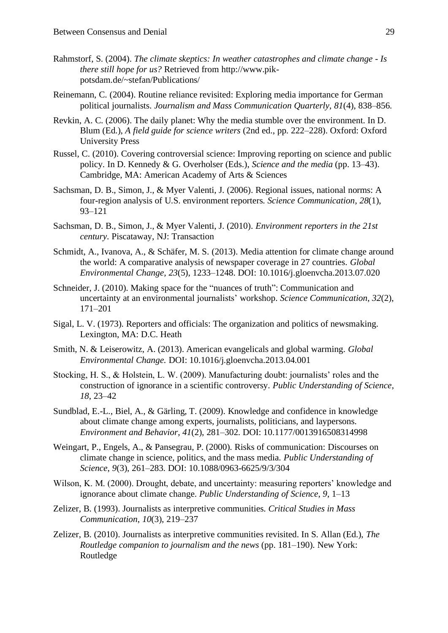- Rahmstorf, S. (2004). *The climate skeptics: In weather catastrophes and climate change - Is there still hope for us?* Retrieved from http://www.pikpotsdam.de/~stefan/Publications/
- Reinemann, C. (2004). Routine reliance revisited: Exploring media importance for German political journalists. *Journalism and Mass Communication Quarterly*, *81*(4), 838–856.
- Revkin, A. C. (2006). The daily planet: Why the media stumble over the environment. In D. Blum (Ed.), *A field guide for science writers* (2nd ed., pp. 222–228). Oxford: Oxford University Press
- Russel, C. (2010). Covering controversial science: Improving reporting on science and public policy. In D. Kennedy & G. Overholser (Eds.), *Science and the media* (pp. 13–43). Cambridge, MA: American Academy of Arts & Sciences
- Sachsman, D. B., Simon, J., & Myer Valenti, J. (2006). Regional issues, national norms: A four-region analysis of U.S. environment reporters. *Science Communication*, *28*(1), 93–121
- Sachsman, D. B., Simon, J., & Myer Valenti, J. (2010). *Environment reporters in the 21st century*. Piscataway, NJ: Transaction
- Schmidt, A., Ivanova, A., & Schäfer, M. S. (2013). Media attention for climate change around the world: A comparative analysis of newspaper coverage in 27 countries. *Global Environmental Change, 23*(5), 1233–1248. DOI: 10.1016/j.gloenvcha.2013.07.020
- Schneider, J. (2010). Making space for the "nuances of truth": Communication and uncertainty at an environmental journalists' workshop. *Science Communication*, *32*(2), 171–201
- Sigal, L. V. (1973). Reporters and officials: The organization and politics of newsmaking. Lexington, MA: D.C. Heath
- Smith, N. & Leiserowitz, A. (2013). American evangelicals and global warming. *Global Environmental Change.* DOI: 10.1016/j.gloenvcha.2013.04.001
- Stocking, H. S., & Holstein, L. W. (2009). Manufacturing doubt: journalists' roles and the construction of ignorance in a scientific controversy. *Public Understanding of Science*, *18*, 23–42
- Sundblad, E.-L., Biel, A., & Gärling, T. (2009). Knowledge and confidence in knowledge about climate change among experts, journalists, politicians, and laypersons. *Environment and Behavior*, *41*(2), 281–302. DOI: 10.1177/0013916508314998
- Weingart, P., Engels, A., & Pansegrau, P. (2000). Risks of communication: Discourses on climate change in science, politics, and the mass media. *Public Understanding of Science*, *9*(3), 261–283. DOI: 10.1088/0963-6625/9/3/304
- Wilson, K. M. (2000). Drought, debate, and uncertainty: measuring reporters' knowledge and ignorance about climate change. *Public Understanding of Science*, *9*, 1–13
- Zelizer, B. (1993). Journalists as interpretive communities. *Critical Studies in Mass Communication*, *10*(3), 219–237
- Zelizer, B. (2010). Journalists as interpretive communities revisited. In S. Allan (Ed.), *The Routledge companion to journalism and the news (pp. 181–190). New York:* Routledge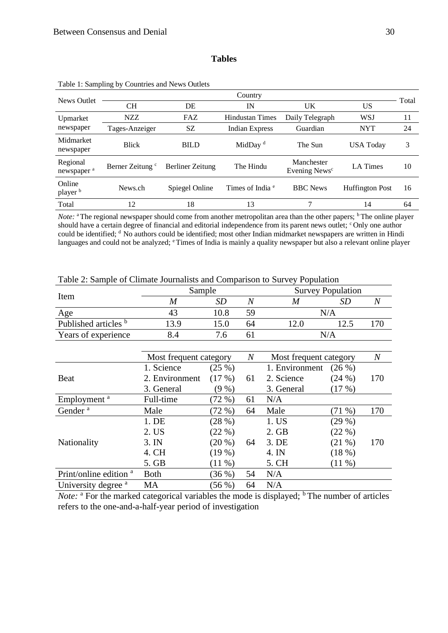#### **Tables**

| <b>News Outlet</b>                 | Country                     |                         |                             |                                         |                        |       |  |  |  |
|------------------------------------|-----------------------------|-------------------------|-----------------------------|-----------------------------------------|------------------------|-------|--|--|--|
|                                    | CН                          | DE                      | IN                          | UK                                      | US                     | Total |  |  |  |
| Upmarket                           | NZZ                         | FAZ                     | <b>Hindustan Times</b>      | Daily Telegraph                         | WSJ                    | 11    |  |  |  |
| newspaper                          | Tages-Anzeiger              | SZ                      | <b>Indian Express</b>       | Guardian                                | <b>NYT</b>             | 24    |  |  |  |
| Midmarket<br>newspaper             | <b>Blick</b>                | <b>BILD</b>             | MidDay <sup>d</sup>         | The Sun                                 | <b>USA Today</b>       | 3     |  |  |  |
| Regional<br>newspaper <sup>a</sup> | Berner Zeitung <sup>c</sup> | <b>Berliner</b> Zeitung | The Hindu                   | Manchester<br>Evening News <sup>c</sup> | <b>LA</b> Times        | 10    |  |  |  |
| Online<br>player <sup>b</sup>      | News.ch                     | Spiegel Online          | Times of India <sup>e</sup> | <b>BBC</b> News                         | <b>Huffington Post</b> | 16    |  |  |  |
| Total                              | 12                          | 18                      | 13                          | 7                                       | 14                     | 64    |  |  |  |
|                                    |                             |                         |                             |                                         |                        |       |  |  |  |

|  |  | Table 1: Sampling by Countries and News Outlets |  |  |
|--|--|-------------------------------------------------|--|--|
|--|--|-------------------------------------------------|--|--|

*Note*: <sup>a</sup>The regional newspaper should come from another metropolitan area than the other papers; <sup>b</sup>The online player should have a certain degree of financial and editorial independence from its parent news outlet; <sup>c</sup>Only one author could be identified; <sup>d</sup>No authors could be identified; most other Indian midmarket newspapers are written in Hindi languages and could not be analyzed; <sup>e</sup>Times of India is mainly a quality newspaper but also a relevant online player

|                                   | Sample                 |                                                                       |                | <b>Survey Population</b> |           |         |  |
|-----------------------------------|------------------------|-----------------------------------------------------------------------|----------------|--------------------------|-----------|---------|--|
| Item                              | $\boldsymbol{M}$       | SD                                                                    | $\overline{N}$ | M                        | SD        | N       |  |
| Age                               | 43                     | 10.8                                                                  | 59             |                          | N/A       |         |  |
| Published articles b              | 13.9                   | 15.0                                                                  | 64             | 12.0                     | 12.5      | 170     |  |
| Years of experience               | 8.4                    | 7.6                                                                   | 61             |                          | N/A       |         |  |
|                                   |                        |                                                                       |                |                          |           |         |  |
|                                   | Most frequent category | $\boldsymbol{N}$<br>Most frequent category<br>(25%)<br>1. Environment |                |                          |           | $\it N$ |  |
|                                   | 1. Science             |                                                                       |                |                          | (26%)     |         |  |
| Beat                              | 2. Environment         | (17%)                                                                 | 61             | 2. Science               | (24%)     | 170     |  |
|                                   | 3. General             | (9%)                                                                  |                | 3. General               | (17%)     |         |  |
| Employment <sup>a</sup>           | Full-time              | (72%)                                                                 | 61             | N/A                      |           |         |  |
| Gender <sup>a</sup>               | Male                   | (72%)                                                                 | 64             | Male                     | $(71 \%)$ | 170     |  |
|                                   | 1. DE                  | (28%)                                                                 |                | 1. US                    | (29%)     |         |  |
|                                   | 2. US                  | (22%)                                                                 |                | 2. GB                    | (22%)     |         |  |
| Nationality                       | 3. IN                  | $(20\%)$                                                              | 64             | 3. DE                    | $(21 \%)$ | 170     |  |
|                                   | 4. CH                  | (19%)                                                                 |                | 4. IN                    | (18%)     |         |  |
|                                   | 5. GB                  | $(11 \%)$                                                             |                | 5. CH                    | $(11 \%)$ |         |  |
| Print/online edition <sup>a</sup> | <b>Both</b>            | (36%)                                                                 | 54             | N/A                      |           |         |  |
| University degree <sup>a</sup>    | <b>MA</b>              | (56%)                                                                 | 64             | N/A                      |           |         |  |

Table 2: Sample of Climate Journalists and Comparison to Survey Population

*Note:* <sup>a</sup> For the marked categorical variables the mode is displayed; <sup>b</sup> The number of articles refers to the one-and-a-half-year period of investigation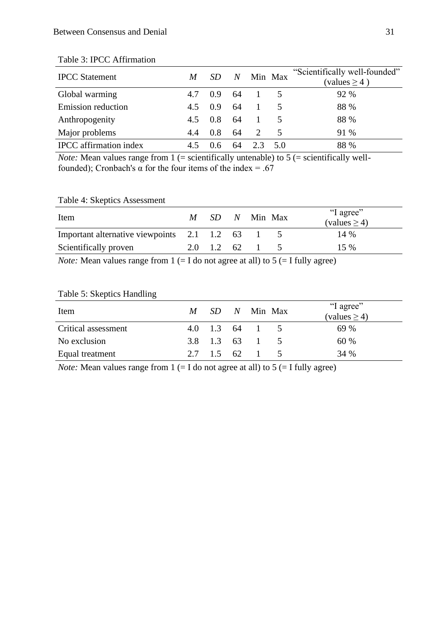| <b>IPCC</b> Statement         | M   |     | N  |                             | Min Max | "Scientifically well-founded"<br>(values $\geq$ 4) |
|-------------------------------|-----|-----|----|-----------------------------|---------|----------------------------------------------------|
| Global warming                | 4.7 | 0.9 | 64 |                             |         | 92 %                                               |
| <b>Emission</b> reduction     | 4.5 | 0.9 | 64 |                             |         | 88 %                                               |
| Anthropogenity                | 4.5 | 0.8 | 64 |                             |         | 88 %                                               |
| Major problems                | 4.4 | 0.8 | 64 | $\mathcal{D}_{\mathcal{L}}$ | 5       | 91 %                                               |
| <b>IPCC</b> affirmation index |     |     |    |                             | 5.0     | 88 %                                               |

# Table 3: IPCC Affirmation

*Note:* Mean values range from  $1$  (= scientifically untenable) to  $5$  (= scientifically wellfounded); Cronbach's  $\alpha$  for the four items of the index = .67

# Table 4: Skeptics Assessment

| Item                                        | M SD N Min Max |  | "I agree"<br>$\text{(values} \geq 4)$ |
|---------------------------------------------|----------------|--|---------------------------------------|
| Important alternative viewpoints 2.1 1.2 63 |                |  | 14 %                                  |
| Scientifically proven                       | 2.0 1.2 62     |  | $15\%$                                |

*Note:* Mean values range from  $1 (= I$  do not agree at all) to  $5 (= I$  fully agree)

# Table 5: Skeptics Handling

| Item                | $M$ SD $N$ Min Max |  | "I agree"<br>$\text{(values} \geq 4)$ |
|---------------------|--------------------|--|---------------------------------------|
| Critical assessment | 4.0 1.3 64 1 5     |  | 69 %                                  |
| No exclusion        | 3.8 1.3 63 1       |  | 60 %                                  |
| Equal treatment     | 2.7 1.5 62         |  | 34 %                                  |

*Note:* Mean values range from  $1 (= I$  do not agree at all) to  $5 (= I$  fully agree)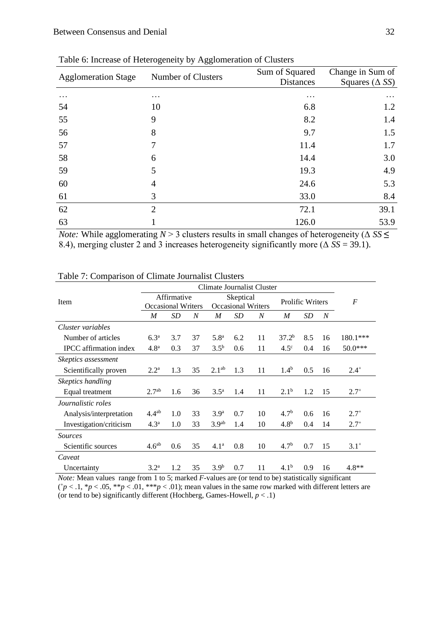| <b>Agglomeration Stage</b> | Number of Clusters | Sum of Squared   | Change in Sum of          |  |
|----------------------------|--------------------|------------------|---------------------------|--|
|                            |                    | <b>Distances</b> | Squares ( $\triangle$ SS) |  |
| $\cdots$                   | $\cdots$           | $\cdots$         | $\cdots$                  |  |
| 54                         | 10                 | 6.8              | 1.2                       |  |
| 55                         | 9                  | 8.2              | 1.4                       |  |
| 56                         | 8                  | 9.7              | 1.5                       |  |
| 57                         | 7                  | 11.4             | 1.7                       |  |
| 58                         | 6                  | 14.4             | 3.0                       |  |
| 59                         | 5                  | 19.3             | 4.9                       |  |
| 60                         | 4                  | 24.6             | 5.3                       |  |
| 61                         | 3                  | 33.0             | 8.4                       |  |
| 62                         | $\overline{2}$     | 72.1             | 39.1                      |  |
| 63                         |                    | 126.0            | 53.9                      |  |

Table 6: Increase of Heterogeneity by Agglomeration of Clusters

*Note:* While agglomerating  $N > 3$  clusters results in small changes of heterogeneity ( $\Delta SS \leq$ 8.4), merging cluster 2 and 3 increases heterogeneity significantly more (Δ *SS* = 39.1).

|                               | Climate Journalist Cluster |     |                           |                    |     |                  |                  |                  |    |           |
|-------------------------------|----------------------------|-----|---------------------------|--------------------|-----|------------------|------------------|------------------|----|-----------|
| Item                          | Affirmative                |     |                           | Skeptical          |     | Prolific Writers |                  | $\boldsymbol{F}$ |    |           |
|                               | <b>Occasional Writers</b>  |     | <b>Occasional Writers</b> |                    |     |                  |                  |                  |    |           |
|                               | M                          | SD  | N                         | M                  | SD  | N                | M                | SD               | N  |           |
| Cluster variables             |                            |     |                           |                    |     |                  |                  |                  |    |           |
| Number of articles            | 6.3 <sup>a</sup>           | 3.7 | 37                        | 5.8 <sup>a</sup>   | 6.2 | 11               | $37.2^{b}$       | 8.5              | 16 | 180.1***  |
| <b>IPCC</b> affirmation index | 4.8 <sup>a</sup>           | 0.3 | 37                        | $3.5^{b}$          | 0.6 | 11               | $4.5^\circ$      | 0.4              | 16 | $50.0***$ |
| Skeptics assessment           |                            |     |                           |                    |     |                  |                  |                  |    |           |
| Scientifically proven         | 2.2 <sup>a</sup>           | 1.3 | 35                        | 2.1 <sup>ab</sup>  | 1.3 | 11               | $1.4^{b}$        | 0.5              | 16 | $2.4^{+}$ |
| Skeptics handling             |                            |     |                           |                    |     |                  |                  |                  |    |           |
| Equal treatment               | 2.7 <sup>ab</sup>          | 1.6 | 36                        | $3.5^{\mathrm{a}}$ | 1.4 | 11               | $2.1^{b}$        | 1.2              | 15 | $2.7^{+}$ |
| <i>Journalistic roles</i>     |                            |     |                           |                    |     |                  |                  |                  |    |           |
| Analysis/interpretation       | $4.4^{ab}$                 | 1.0 | 33                        | 3.9 <sup>a</sup>   | 0.7 | 10               | 4.7 <sup>b</sup> | 0.6              | 16 | $2.7^{+}$ |
| Investigation/criticism       | $4.3^{\rm a}$              | 1.0 | 33                        | 3.9 <sup>ab</sup>  | 1.4 | 10               | 4.8 <sup>b</sup> | 0.4              | 14 | $2.7^{+}$ |
| <i>Sources</i>                |                            |     |                           |                    |     |                  |                  |                  |    |           |
| Scientific sources            | 4.6 <sup>ab</sup>          | 0.6 | 35                        | 4.1 <sup>a</sup>   | 0.8 | 10               | 4.7 <sup>b</sup> | 0.7              | 15 | $3.1^{+}$ |
| Caveat                        |                            |     |                           |                    |     |                  |                  |                  |    |           |
| Uncertainty                   | 3.2 <sup>a</sup>           | 1.2 | 35                        | 3.9 <sup>b</sup>   | 0.7 | 11               | $4.1^{b}$        | 0.9              | 16 | $4.8**$   |

Table 7: Comparison of Climate Journalist Clusters

*Note:* Mean values range from 1 to 5; marked *F*-values are (or tend to be) statistically significant  $({^+\!p} < .1, {^*\!p} < .05, {^*\!*p} < .01, {^*\!**p} < .01)$ ; mean values in the same row marked with different letters are (or tend to be) significantly different (Hochberg, Games-Howell,  $p < .1$ )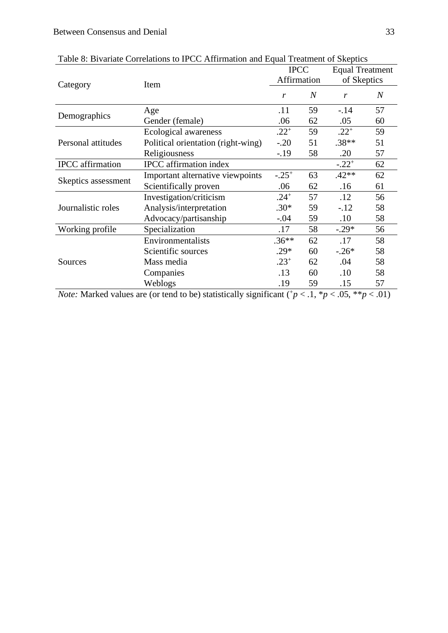| I dole of Divalian Conciditors to II CC Antihination and Equal Heatment of SKepties |                                    |             |                  |                        |                  |
|-------------------------------------------------------------------------------------|------------------------------------|-------------|------------------|------------------------|------------------|
|                                                                                     |                                    | <b>IPCC</b> |                  | <b>Equal Treatment</b> |                  |
| Category                                                                            | Item                               | Affirmation |                  | of Skeptics            |                  |
|                                                                                     |                                    | r           | $\boldsymbol{N}$ | r                      | $\boldsymbol{N}$ |
|                                                                                     | Age                                | .11         | 59               | $-14$                  | 57               |
| Demographics                                                                        | Gender (female)                    | .06         | 62               | .05                    | 60               |
|                                                                                     | Ecological awareness               | $.22^{+}$   | 59               | $.22^{+}$              | 59               |
| Personal attitudes                                                                  | Political orientation (right-wing) | $-.20$      | 51               | $.38**$                | 51               |
|                                                                                     | Religiousness                      | $-19$       | 58               | .20                    | 57               |
| <b>IPCC</b> affirmation                                                             | <b>IPCC</b> affirmation index      |             |                  | $-.22^{+}$             | 62               |
| Skeptics assessment                                                                 | Important alternative viewpoints   | $-.25+$     | 63               | $.42**$                | 62               |
|                                                                                     | Scientifically proven              | .06         | 62               | .16                    | 61               |
|                                                                                     | Investigation/criticism            | $.24^{+}$   | 57               | .12                    | 56               |
| Journalistic roles                                                                  | Analysis/interpretation            | $.30*$      | 59               | $-.12$                 | 58               |
|                                                                                     | Advocacy/partisanship              | $-.04$      | 59               | $.10\,$                | 58               |
| Working profile                                                                     | Specialization                     | .17         | 58               | $-.29*$                | 56               |
|                                                                                     | Environmentalists                  | $.36**$     | 62               | .17                    | 58               |
|                                                                                     | Scientific sources                 | $.29*$      | 60               | $-.26*$                | 58               |
| Sources                                                                             | Mass media                         | $.23^{+}$   | 62               | .04                    | 58               |
|                                                                                     | Companies                          | .13         | 60               | $.10\,$                | 58               |
|                                                                                     | Weblogs                            | .19         | 59               | .15                    | 57               |
|                                                                                     |                                    |             |                  |                        |                  |

Table 8: Bivariate Correlations to IPCC Affirmation and Equal Treatment of Skeptics

*Note:* Marked values are (or tend to be) statistically significant ( $p < 1$ ,  $p < 0.05$ ,  $p < 0.01$ )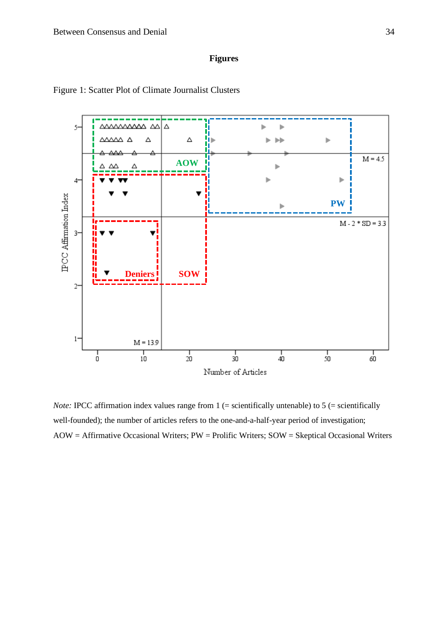## **Figures**





*Note:* IPCC affirmation index values range from 1 (= scientifically untenable) to 5 (= scientifically well-founded); the number of articles refers to the one-and-a-half-year period of investigation; AOW = Affirmative Occasional Writers; PW = Prolific Writers; SOW = Skeptical Occasional Writers